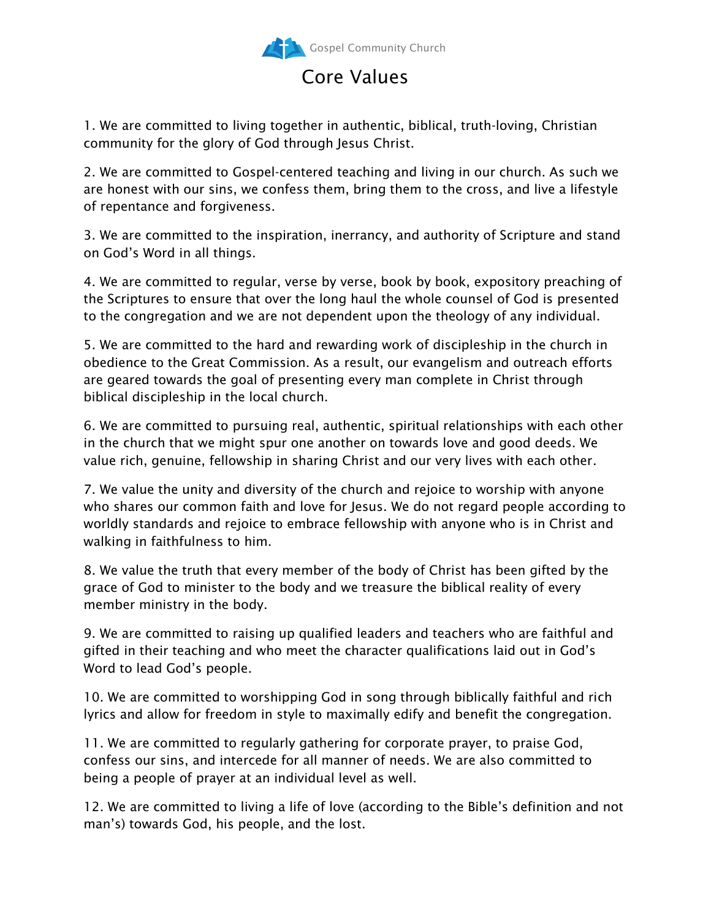

## Core Values

1. We are committed to living together in authentic, biblical, truth-loving, Christian community for the glory of God through Jesus Christ.

2. We are committed to Gospel-centered teaching and living in our church. As such we are honest with our sins, we confess them, bring them to the cross, and live a lifestyle of repentance and forgiveness.

3. We are committed to the inspiration, inerrancy, and authority of Scripture and stand on God's Word in all things.

4. We are committed to regular, verse by verse, book by book, expository preaching of the Scriptures to ensure that over the long haul the whole counsel of God is presented to the congregation and we are not dependent upon the theology of any individual.

5. We are committed to the hard and rewarding work of discipleship in the church in obedience to the Great Commission. As a result, our evangelism and outreach efforts are geared towards the goal of presenting every man complete in Christ through biblical discipleship in the local church.

6. We are committed to pursuing real, authentic, spiritual relationships with each other in the church that we might spur one another on towards love and good deeds. We value rich, genuine, fellowship in sharing Christ and our very lives with each other.

7. We value the unity and diversity of the church and rejoice to worship with anyone who shares our common faith and love for Jesus. We do not regard people according to worldly standards and rejoice to embrace fellowship with anyone who is in Christ and walking in faithfulness to him.

8. We value the truth that every member of the body of Christ has been gifted by the grace of God to minister to the body and we treasure the biblical reality of every member ministry in the body.

9. We are committed to raising up qualified leaders and teachers who are faithful and gifted in their teaching and who meet the character qualifications laid out in God's Word to lead God's people.

10. We are committed to worshipping God in song through biblically faithful and rich lyrics and allow for freedom in style to maximally edify and benefit the congregation.

11. We are committed to regularly gathering for corporate prayer, to praise God, confess our sins, and intercede for all manner of needs. We are also committed to being a people of prayer at an individual level as well.

12. We are committed to living a life of love (according to the Bible's definition and not man's) towards God, his people, and the lost.